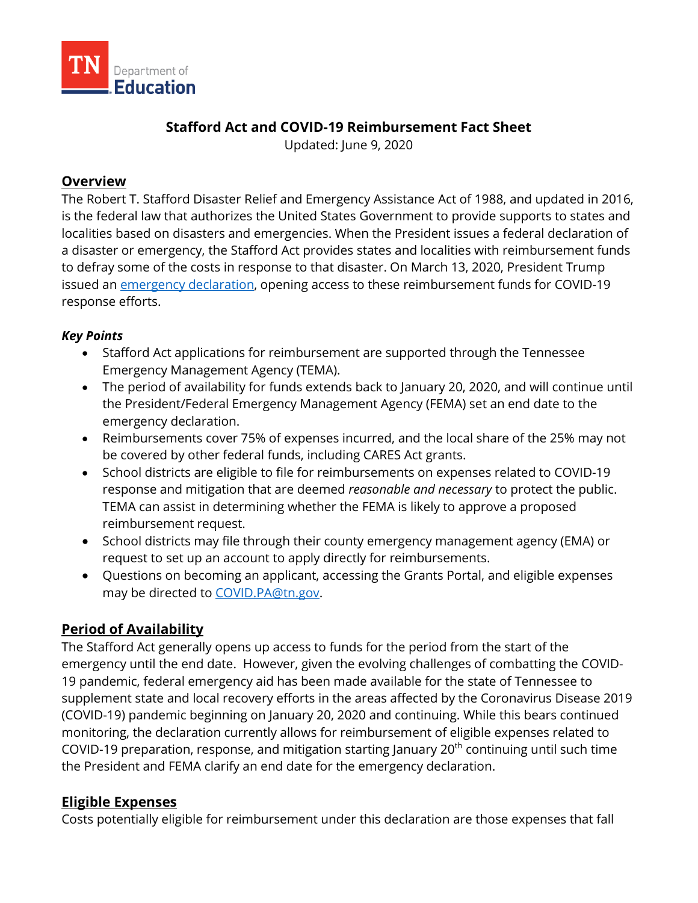

### **Stafford Act and COVID-19 Reimbursement Fact Sheet**

Updated: June 9, 2020

#### **Overview**

The Robert T. Stafford Disaster Relief and Emergency Assistance Act of 1988, and updated in 2016, is the federal law that authorizes the United States Government to provide supports to states and localities based on disasters and emergencies. When the President issues a federal declaration of a disaster or emergency, the Stafford Act provides states and localities with reimbursement funds to defray some of the costs in response to that disaster. On March 13, 2020, President Trump issued an [emergency declaration,](https://www.fema.gov/news-release/2020/04/02/president-donald-j-trump-approves-major-disaster-declaration-state-tennessee) opening access to these reimbursement funds for COVID-19 response efforts.

#### *Key Points*

- Stafford Act applications for reimbursement are supported through the Tennessee Emergency Management Agency (TEMA).
- The period of availability for funds extends back to January 20, 2020, and will continue until the President/Federal Emergency Management Agency (FEMA) set an end date to the emergency declaration.
- Reimbursements cover 75% of expenses incurred, and the local share of the 25% may not be covered by other federal funds, including CARES Act grants.
- School districts are eligible to file for reimbursements on expenses related to COVID-19 response and mitigation that are deemed *reasonable and necessary* to protect the public. TEMA can assist in determining whether the FEMA is likely to approve a proposed reimbursement request.
- School districts may file through their county emergency management agency (EMA) or request to set up an account to apply directly for reimbursements.
- Questions on becoming an applicant, accessing the Grants Portal, and eligible expenses may be directed to [COVID.PA@tn.gov.](mailto:COVID.PA@tn.gov)

# **Period of Availability**

The Stafford Act generally opens up access to funds for the period from the start of the emergency until the end date. However, given the evolving challenges of combatting the COVID-19 pandemic, federal emergency aid has been made available for the state of Tennessee to supplement state and local recovery efforts in the areas affected by the Coronavirus Disease 2019 (COVID-19) pandemic beginning on January 20, 2020 and continuing. While this bears continued monitoring, the declaration currently allows for reimbursement of eligible expenses related to COVID-19 preparation, response, and mitigation starting January 20<sup>th</sup> continuing until such time the President and FEMA clarify an end date for the emergency declaration.

# **Eligible Expenses**

Costs potentially eligible for reimbursement under this declaration are those expenses that fall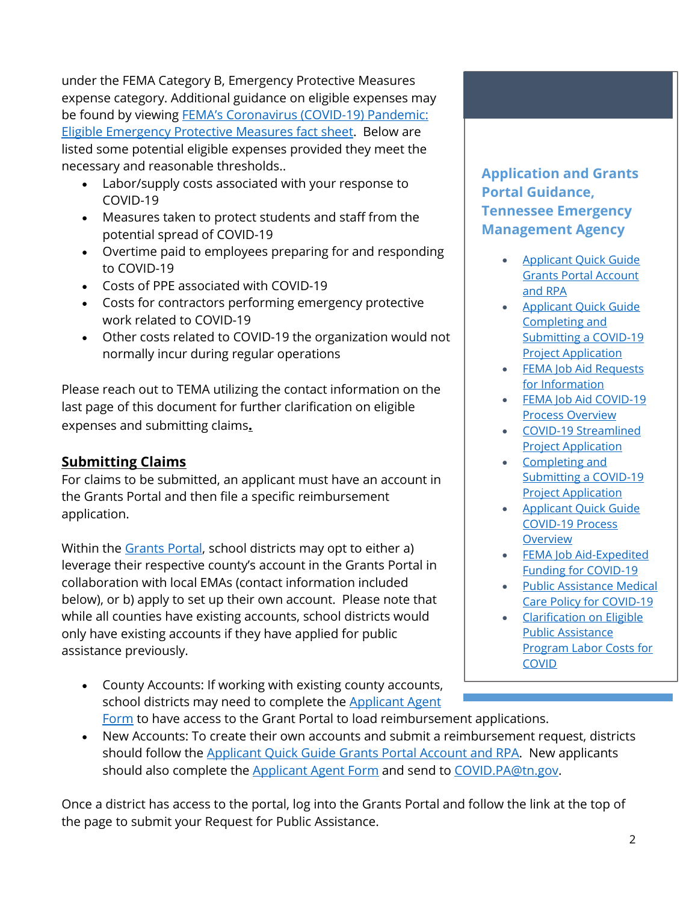under the FEMA Category B, Emergency Protective Measures expense category. Additional guidance on eligible expenses may be found by viewing [FEMA's Coronavirus \(COVID-19\) Pandemic:](https://www.fema.gov/news-release/2020/03/19/coronavirus-covid-19-pandemic-eligible-emergency-protective-measures#:%7E:text=Stafford%20Disaster%20Relief%20and%20Emergency,of%20FEMA)  [Eligible Emergency Protective Measures fact sheet.](https://www.fema.gov/news-release/2020/03/19/coronavirus-covid-19-pandemic-eligible-emergency-protective-measures#:%7E:text=Stafford%20Disaster%20Relief%20and%20Emergency,of%20FEMA) Below are listed some potential eligible expenses provided they meet the necessary and reasonable thresholds..

- Labor/supply costs associated with your response to COVID-19
- Measures taken to protect students and staff from the potential spread of COVID-19
- Overtime paid to employees preparing for and responding to COVID-19
- Costs of PPE associated with COVID-19
- Costs for contractors performing emergency protective work related to COVID-19
- Other costs related to COVID-19 the organization would not normally incur during regular operations

Please reach out to TEMA utilizing the contact information on the last page of this document for further clarification on eligible expenses and submitting claims**.** 

# **Submitting Claims**

For claims to be submitted, an applicant must have an account in the Grants Portal and then file a specific reimbursement application.

Within the [Grants Portal,](https://grantee.fema.gov/) school districts may opt to either a) leverage their respective county's account in the Grants Portal in collaboration with local EMAs (contact information included below), or b) apply to set up their own account. Please note that while all counties have existing accounts, school districts would only have existing accounts if they have applied for public assistance previously.

• County Accounts: If working with existing county accounts, school districts may need to complete the **Applicant Agent** [Form](https://www.tn.gov/content/dam/tn/tema/documents/covid19-pa-documents/Applicant%20Agent%20Form.pdf) to have access to the Grant Portal to load reimbursement applications.

# **Application and Grants Portal Guidance, Tennessee Emergency Management Agency**

- [Applicant Quick Guide](https://www.tn.gov/content/dam/tn/tema/documents/Applicant%20Quick%20Guide%20Grants%20Portal%20Account%20and%20RPA%20(05.15.20).pdf)  [Grants Portal Account](https://www.tn.gov/content/dam/tn/tema/documents/Applicant%20Quick%20Guide%20Grants%20Portal%20Account%20and%20RPA%20(05.15.20).pdf)  [and RPA](https://www.tn.gov/content/dam/tn/tema/documents/Applicant%20Quick%20Guide%20Grants%20Portal%20Account%20and%20RPA%20(05.15.20).pdf)
- [Applicant Quick Guide](https://www.tn.gov/content/dam/tn/tema/documents/Applicant%20Quick%20Guide%20Completing%20and%20Submitting%20a%20COVID-19%20Project%20Application.pdf)  [Completing and](https://www.tn.gov/content/dam/tn/tema/documents/Applicant%20Quick%20Guide%20Completing%20and%20Submitting%20a%20COVID-19%20Project%20Application.pdf)  [Submitting a COVID-19](https://www.tn.gov/content/dam/tn/tema/documents/Applicant%20Quick%20Guide%20Completing%20and%20Submitting%20a%20COVID-19%20Project%20Application.pdf)  [Project Application](https://www.tn.gov/content/dam/tn/tema/documents/Applicant%20Quick%20Guide%20Completing%20and%20Submitting%20a%20COVID-19%20Project%20Application.pdf)
- [FEMA Job Aid Requests](https://www.tn.gov/content/dam/tn/tema/documents/FEMA%20Job%20Aid%20Requests%20for%20Information%20(RFI).pdf)  [for Information](https://www.tn.gov/content/dam/tn/tema/documents/FEMA%20Job%20Aid%20Requests%20for%20Information%20(RFI).pdf)
- [FEMA Job Aid COVID-19](https://www.tn.gov/content/dam/tn/tema/documents/FEMA%20Job%20Aid%20COVID-19%20Process%20Overview.pdf)  [Process Overview](https://www.tn.gov/content/dam/tn/tema/documents/FEMA%20Job%20Aid%20COVID-19%20Process%20Overview.pdf)
- [COVID-19 Streamlined](https://www.tn.gov/content/dam/tn/tema/documents/COVID-19%20Streamlined%20Project%20Application.pdf)  [Project Application](https://www.tn.gov/content/dam/tn/tema/documents/COVID-19%20Streamlined%20Project%20Application.pdf)
- [Completing and](https://www.tn.gov/content/dam/tn/tema/documents/Completing%20and%20Submitting%20a%20COVID-19%20Project%20Application.pdf)  [Submitting a COVID-19](https://www.tn.gov/content/dam/tn/tema/documents/Completing%20and%20Submitting%20a%20COVID-19%20Project%20Application.pdf)  [Project Application](https://www.tn.gov/content/dam/tn/tema/documents/Completing%20and%20Submitting%20a%20COVID-19%20Project%20Application.pdf)
- [Applicant Quick Guide](https://www.tn.gov/content/dam/tn/tema/documents/Applicant%20Quick%20Guide%20COVID19%20Process%20Overview.pdf)  [COVID-19](https://www.tn.gov/content/dam/tn/tema/documents/Applicant%20Quick%20Guide%20COVID19%20Process%20Overview.pdf) Process [Overview](https://www.tn.gov/content/dam/tn/tema/documents/Applicant%20Quick%20Guide%20COVID19%20Process%20Overview.pdf)
- [FEMA Job Aid-Expedited](https://www.tn.gov/content/dam/tn/tema/documents/FEMA%20Job%20Aid-Expedited%20Funding%20for%20COVID-19.pdf)  [Funding for COVID-19](https://www.tn.gov/content/dam/tn/tema/documents/FEMA%20Job%20Aid-Expedited%20Funding%20for%20COVID-19.pdf)
- [Public Assistance Medical](https://www.tn.gov/content/dam/tn/tema/documents/Public%20Assistance%20Medical%20Care%20Policy%20for%20COVID-19.pdf)  [Care Policy for COVID-19](https://www.tn.gov/content/dam/tn/tema/documents/Public%20Assistance%20Medical%20Care%20Policy%20for%20COVID-19.pdf)
- [Clarification on Eligible](https://www.tn.gov/content/dam/tn/tema/documents/Clarification%20on%20Eligible%20Public%20Assistance%20Program%20Labor%20Costs%20for%20COVID.pdf)  [Public Assistance](https://www.tn.gov/content/dam/tn/tema/documents/Clarification%20on%20Eligible%20Public%20Assistance%20Program%20Labor%20Costs%20for%20COVID.pdf)  [Program Labor Costs for](https://www.tn.gov/content/dam/tn/tema/documents/Clarification%20on%20Eligible%20Public%20Assistance%20Program%20Labor%20Costs%20for%20COVID.pdf)  **[COVID](https://www.tn.gov/content/dam/tn/tema/documents/Clarification%20on%20Eligible%20Public%20Assistance%20Program%20Labor%20Costs%20for%20COVID.pdf)**
- New Accounts: To create their own accounts and submit a reimbursement request, districts should follow the [Applicant Quick Guide Grants Portal Account and RPA.](https://www.tn.gov/content/dam/tn/tema/documents/Applicant%20Quick%20Guide%20Grants%20Portal%20Account%20and%20RPA%20(05.15.20).pdf) New applicants should also complete the [Applicant Agent Form](https://www.tn.gov/content/dam/tn/tema/documents/covid19-pa-documents/Applicant%20Agent%20Form.pdf) and send to [COVID.PA@tn.gov.](mailto:COVID.PA@tn.gov)

Once a district has access to the portal, log into the Grants Portal and follow the link at the top of the page to submit your Request for Public Assistance.